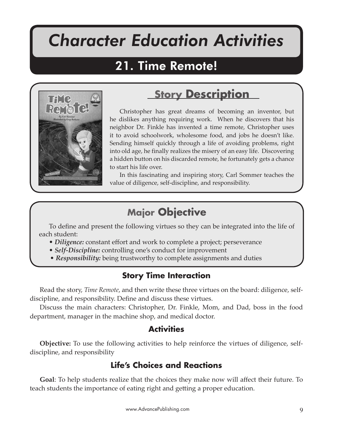# *Character Education Activities*

Time Remote!

# 21. Time Remote!



# **Story Description**

Christopher has great dreams of becoming an inventor, but he dislikes anything requiring work. When he discovers that his neighbor Dr. Finkle has invented a time remote, Christopher uses it to avoid schoolwork, wholesome food, and jobs he doesn't like. Sending himself quickly through a life of avoiding problems, right into old age, he finally realizes the misery of an easy life. Discovering a hidden button on his discarded remote, he fortunately gets a chance to start his life over.

In this fascinating and inspiring story, Carl Sommer teaches the value of diligence, self-discipline, and responsibility.

# **Major Objective**

To define and present the following virtues so they can be integrated into the life of each student:

- *Diligence:* constant effort and work to complete a project; perseverance
- *Self-Discipline:* controlling one's conduct for improvement
- *Responsibility:* being trustworthy to complete assignments and duties

# **Story Time Interaction**

Read the story, *Time Remote*, and then write these three virtues on the board: diligence, selfdiscipline, and responsibility. Define and discuss these virtues.

Discuss the main characters: Christopher, Dr. Finkle, Mom, and Dad, boss in the food department, manager in the machine shop, and medical doctor.

# **Activities**

**Objective:** To use the following activities to help reinforce the virtues of diligence, selfdiscipline, and responsibility

# **Life's Choices and Reactions**

**Goal**: To help students realize that the choices they make now will affect their future. To teach students the importance of eating right and ge�ing a proper education.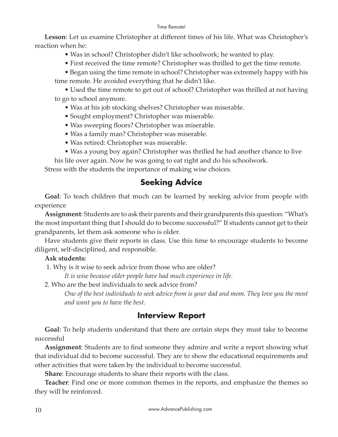#### Time Remote!

**Lesson**: Let us examine Christopher at different times of his life. What was Christopher's reaction when he:

• Was in school? Christopher didn't like schoolwork; he wanted to play.

• First received the time remote? Christopher was thrilled to get the time remote.

• Began using the time remote in school? Christopher was extremely happy with his time remote. He avoided everything that he didn't like.

• Used the time remote to get out of school? Christopher was thrilled at not having to go to school anymore.

- Was at his job stocking shelves? Christopher was miserable.
- Sought employment? Christopher was miserable.
- Was sweeping floors? Christopher was miserable.
- Was a family man? Christopher was miserable.
- Was retired: Christopher was miserable.
- Was a young boy again? Christopher was thrilled he had another chance to live

his life over again. Now he was going to eat right and do his schoolwork.

Stress with the students the importance of making wise choices.

# **Seeking Advice**

**Goal**: To teach children that much can be learned by seeking advice from people with experience

**Assignment**: Students are to ask their parents and their grandparents this question: "What's the most important thing that I should do to become successful?" If students cannot get to their grandparents, let them ask someone who is older.

Have students give their reports in class. Use this time to encourage students to become diligent, self-disciplined, and responsible.

#### **Ask students:**

1. Why is it wise to seek advice from those who are older?

*It is wise because older people have had much experience in life.*

2. Who are the best individuals to seek advice from?

*One of the best individuals to seek advice from is your dad and mom. They love you the most and want you to have the best.*

# **Interview Report**

**Goal**: To help students understand that there are certain steps they must take to become successful

**Assignment**: Students are to find someone they admire and write a report showing what that individual did to become successful. They are to show the educational requirements and other activities that were taken by the individual to become successful.

**Share**: Encourage students to share their reports with the class.

**Teacher**: Find one or more common themes in the reports, and emphasize the themes so they will be reinforced.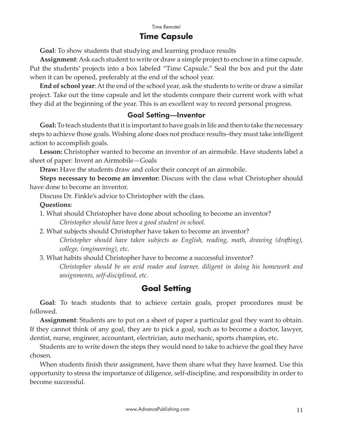### **Time Capsule**

**Goal**: To show students that studying and learning produce results

**Assignment**: Ask each student to write or draw a simple project to enclose in a time capsule. Put the students' projects into a box labeled "Time Capsule." Seal the box and put the date when it can be opened, preferably at the end of the school year.

**End of school year**: At the end of the school year, ask the students to write or draw a similar project. Take out the time capsule and let the students compare their current work with what they did at the beginning of the year. This is an excellent way to record personal progress.

#### Goal Setting—Inventor

**Goal:** To teach students that it is important to have goals in life and then to take the necessary steps to achieve those goals. Wishing alone does not produce results–they must take intelligent action to accomplish goals.

**Lesson:** Christopher wanted to become an inventor of an airmobile. Have students label a sheet of paper: Invent an Airmobile—Goals

**Draw:** Have the students draw and color their concept of an airmobile.

**Steps necessary to become an inventor:** Discuss with the class what Christopher should have done to become an inventor.

Discuss Dr. Finkle's advice to Christopher with the class.

#### **Questions**:

- 1. What should Christopher have done about schooling to become an inventor? *Christopher should have been a good student in school.*
- 2. What subjects should Christopher have taken to become an inventor? *Christopher should have taken subjects as English, reading, math, drawing (dra�ing), college, (engineering), etc.*
- 3. What habits should Christopher have to become a successful inventor?

*Christopher should be an avid reader and learner, diligent in doing his homework and assignments, self-disciplined, etc.*

### **Goal Setting**

**Goal**: To teach students that to achieve certain goals, proper procedures must be followed.

**Assignment**: Students are to put on a sheet of paper a particular goal they want to obtain. If they cannot think of any goal, they are to pick a goal, such as to become a doctor, lawyer, dentist, nurse, engineer, accountant, electrician, auto mechanic, sports champion, etc.

Students are to write down the steps they would need to take to achieve the goal they have chosen.

When students finish their assignment, have them share what they have learned. Use this opportunity to stress the importance of diligence, self-discipline, and responsibility in order to become successful.